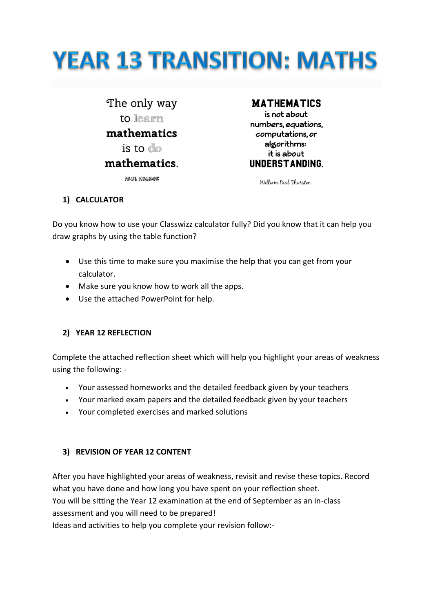# **YEAR 13 TRANSITION: MATHS**

The only way to learn mathematics is to do mathematics.

**PAUL HALMOS** 

# **MATHEMATICS**

is not about numbers equations. computations, or algorithms: it is about UNDERSTANDING.

William Paul Thurston

#### **1) CALCULATOR**

Do you know how to use your Classwizz calculator fully? Did you know that it can help you draw graphs by using the table function?

- Use this time to make sure you maximise the help that you can get from your calculator.
- Make sure you know how to work all the apps.
- Use the attached PowerPoint for help.

#### **2) YEAR 12 REFLECTION**

Complete the attached reflection sheet which will help you highlight your areas of weakness using the following: -

- Your assessed homeworks and the detailed feedback given by your teachers
- Your marked exam papers and the detailed feedback given by your teachers
- Your completed exercises and marked solutions

# **3) REVISION OF YEAR 12 CONTENT**

After you have highlighted your areas of weakness, revisit and revise these topics. Record what you have done and how long you have spent on your reflection sheet. You will be sitting the Year 12 examination at the end of September as an in-class assessment and you will need to be prepared! Ideas and activities to help you complete your revision follow:-